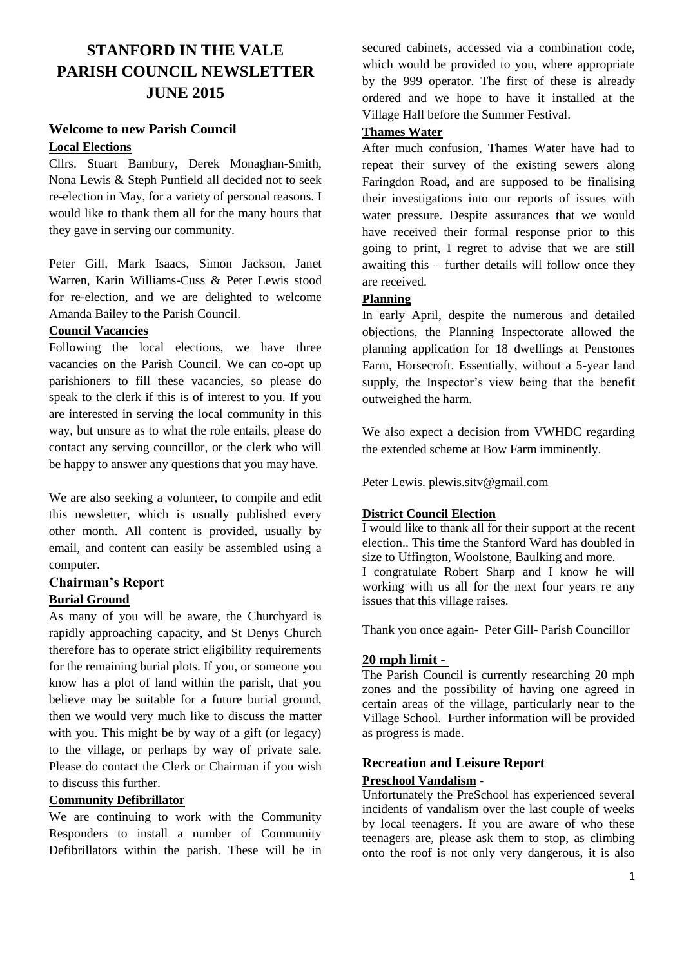# **STANFORD IN THE VALE PARISH COUNCIL NEWSLETTER JUNE 2015**

## **Welcome to new Parish Council Local Elections**

Cllrs. Stuart Bambury, Derek Monaghan-Smith, Nona Lewis & Steph Punfield all decided not to seek re-election in May, for a variety of personal reasons. I would like to thank them all for the many hours that they gave in serving our community.

Peter Gill, Mark Isaacs, Simon Jackson, Janet Warren, Karin Williams-Cuss & Peter Lewis stood for re-election, and we are delighted to welcome Amanda Bailey to the Parish Council.

#### **Council Vacancies**

Following the local elections, we have three vacancies on the Parish Council. We can co-opt up parishioners to fill these vacancies, so please do speak to the clerk if this is of interest to you. If you are interested in serving the local community in this way, but unsure as to what the role entails, please do contact any serving councillor, or the clerk who will be happy to answer any questions that you may have.

We are also seeking a volunteer, to compile and edit this newsletter, which is usually published every other month. All content is provided, usually by email, and content can easily be assembled using a computer.

#### **Chairman's Report Burial Ground**

As many of you will be aware, the Churchyard is rapidly approaching capacity, and St Denys Church therefore has to operate strict eligibility requirements for the remaining burial plots. If you, or someone you know has a plot of land within the parish, that you believe may be suitable for a future burial ground, then we would very much like to discuss the matter with you. This might be by way of a gift (or legacy) to the village, or perhaps by way of private sale. Please do contact the Clerk or Chairman if you wish to discuss this further.

#### **Community Defibrillator**

We are continuing to work with the Community Responders to install a number of Community Defibrillators within the parish. These will be in secured cabinets, accessed via a combination code, which would be provided to you, where appropriate by the 999 operator. The first of these is already ordered and we hope to have it installed at the Village Hall before the Summer Festival.

## **Thames Water**

After much confusion, Thames Water have had to repeat their survey of the existing sewers along Faringdon Road, and are supposed to be finalising their investigations into our reports of issues with water pressure. Despite assurances that we would have received their formal response prior to this going to print, I regret to advise that we are still awaiting this – further details will follow once they are received.

## **Planning**

In early April, despite the numerous and detailed objections, the Planning Inspectorate allowed the planning application for 18 dwellings at Penstones Farm, Horsecroft. Essentially, without a 5-year land supply, the Inspector's view being that the benefit outweighed the harm.

We also expect a decision from VWHDC regarding the extended scheme at Bow Farm imminently.

Peter Lewis. [plewis.sitv@gmail.com](mailto:plewis.sitv@gmail.com)

#### **District Council Election**

I would like to thank all for their support at the recent election.. This time the Stanford Ward has doubled in size to Uffington, Woolstone, Baulking and more. I congratulate Robert Sharp and I know he will working with us all for the next four years re any issues that this village raises.

Thank you once again- Peter Gill- Parish Councillor

#### **20 mph limit -**

The Parish Council is currently researching 20 mph zones and the possibility of having one agreed in certain areas of the village, particularly near to the Village School. Further information will be provided as progress is made.

# **Recreation and Leisure Report Preschool Vandalism -**

Unfortunately the PreSchool has experienced several incidents of vandalism over the last couple of weeks by local teenagers. If you are aware of who these teenagers are, please ask them to stop, as climbing onto the roof is not only very dangerous, it is also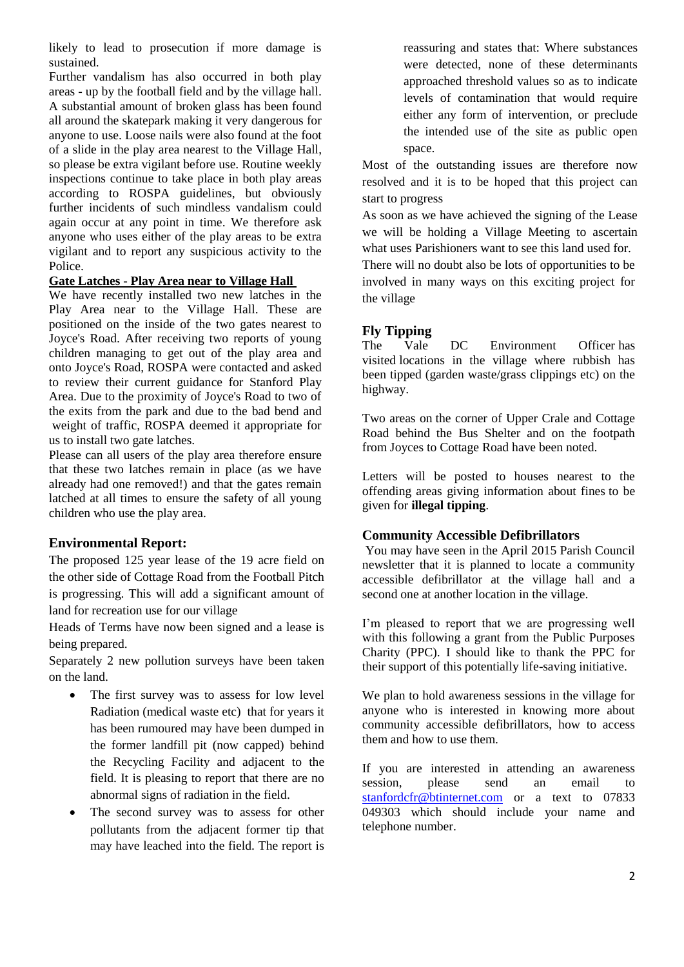likely to lead to prosecution if more damage is sustained.

Further vandalism has also occurred in both play areas - up by the football field and by the village hall. A substantial amount of broken glass has been found all around the skatepark making it very dangerous for anyone to use. Loose nails were also found at the foot of a slide in the play area nearest to the Village Hall, so please be extra vigilant before use. Routine weekly inspections continue to take place in both play areas according to ROSPA guidelines, but obviously further incidents of such mindless vandalism could again occur at any point in time. We therefore ask anyone who uses either of the play areas to be extra vigilant and to report any suspicious activity to the Police.

#### **Gate Latches - Play Area near to Village Hall**

We have recently installed two new latches in the Play Area near to the Village Hall. These are positioned on the inside of the two gates nearest to Joyce's Road. After receiving two reports of young children managing to get out of the play area and onto Joyce's Road, ROSPA were contacted and asked to review their current guidance for Stanford Play Area. Due to the proximity of Joyce's Road to two of the exits from the park and due to the bad bend and weight of traffic, ROSPA deemed it appropriate for us to install two gate latches.

Please can all users of the play area therefore ensure that these two latches remain in place (as we have already had one removed!) and that the gates remain latched at all times to ensure the safety of all young children who use the play area.

# **Environmental Report:**

The proposed 125 year lease of the 19 acre field on the other side of Cottage Road from the Football Pitch is progressing. This will add a significant amount of land for recreation use for our village

Heads of Terms have now been signed and a lease is being prepared.

Separately 2 new pollution surveys have been taken on the land.

- The first survey was to assess for low level Radiation (medical waste etc) that for years it has been rumoured may have been dumped in the former landfill pit (now capped) behind the Recycling Facility and adjacent to the field. It is pleasing to report that there are no abnormal signs of radiation in the field.
- The second survey was to assess for other pollutants from the adjacent former tip that may have leached into the field. The report is

reassuring and states that: Where substances were detected, none of these determinants approached threshold values so as to indicate levels of contamination that would require either any form of intervention, or preclude the intended use of the site as public open space.

Most of the outstanding issues are therefore now resolved and it is to be hoped that this project can start to progress

As soon as we have achieved the signing of the Lease we will be holding a Village Meeting to ascertain what uses Parishioners want to see this land used for.

There will no doubt also be lots of opportunities to be involved in many ways on this exciting project for the village

# **Fly Tipping**

The Vale DC Environment Officer has visited locations in the village where rubbish has been tipped (garden waste/grass clippings etc) on the highway.

Two areas on the corner of Upper Crale and Cottage Road behind the Bus Shelter and on the footpath from Joyces to Cottage Road have been noted.

Letters will be posted to houses nearest to the offending areas giving information about fines to be given for **illegal tipping**.

#### **Community Accessible Defibrillators**

You may have seen in the April 2015 Parish Council newsletter that it is planned to locate a community accessible defibrillator at the village hall and a second one at another location in the village.

I'm pleased to report that we are progressing well with this following a grant from the Public Purposes Charity (PPC). I should like to thank the PPC for their support of this potentially life-saving initiative.

We plan to hold awareness sessions in the village for anyone who is interested in knowing more about community accessible defibrillators, how to access them and how to use them.

If you are interested in attending an awareness session, please send an email to [stanfordcfr@btinternet.com](mailto:stanfordcfr@btinternet.com) or a text to 07833 049303 which should include your name and telephone number.